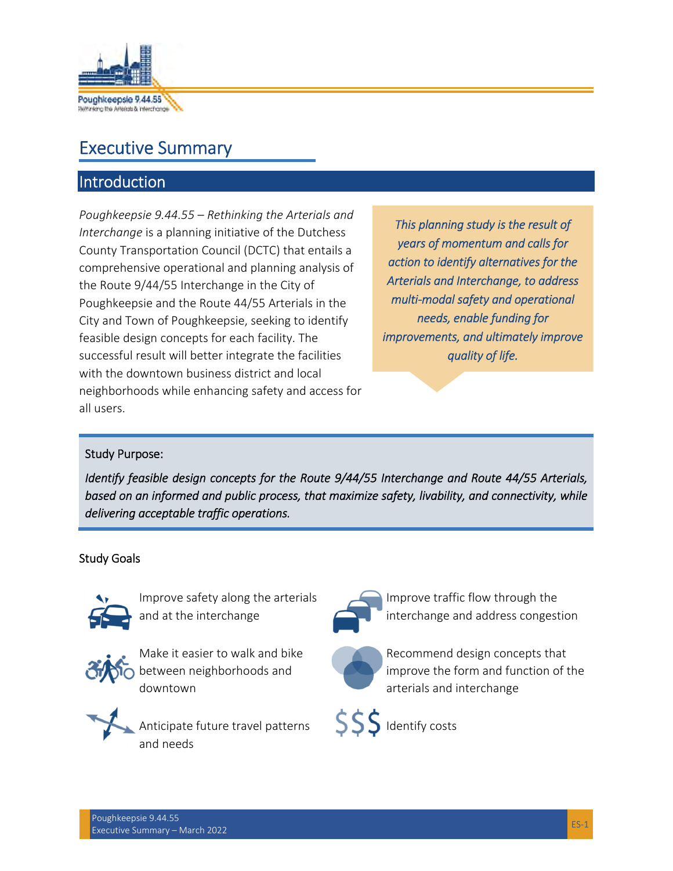

# Executive Summary

## Introduction

*Poughkeepsie 9.44.55 – Rethinking the Arterials and Interchange* is a planning initiative of the Dutchess County Transportation Council (DCTC) that entails a comprehensive operational and planning analysis of the Route 9/44/55 Interchange in the City of Poughkeepsie and the Route 44/55 Arterials in the City and Town of Poughkeepsie, seeking to identify feasible design concepts for each facility. The successful result will better integrate the facilities with the downtown business district and local neighborhoods while enhancing safety and access for all users.

*This planning study is the result of years of momentum and calls for action to identify alternatives for the Arterials and Interchange, to address multi-modal safety and operational needs, enable funding for improvements, and ultimately improve quality of life.* 

#### Study Purpose:

*Identify feasible design concepts for the Route 9/44/55 Interchange and Route 44/55 Arterials, based on an informed and public process, that maximize safety, livability, and connectivity, while delivering acceptable traffic operations.*

#### Study Goals



Improve safety along the arterials and at the interchange



Make it easier to walk and bike **O** between neighborhoods and downtown



Anticipate future travel patterns and needs



Improve traffic flow through the interchange and address congestion



Recommend design concepts that improve the form and function of the arterials and interchange



SSS Identify costs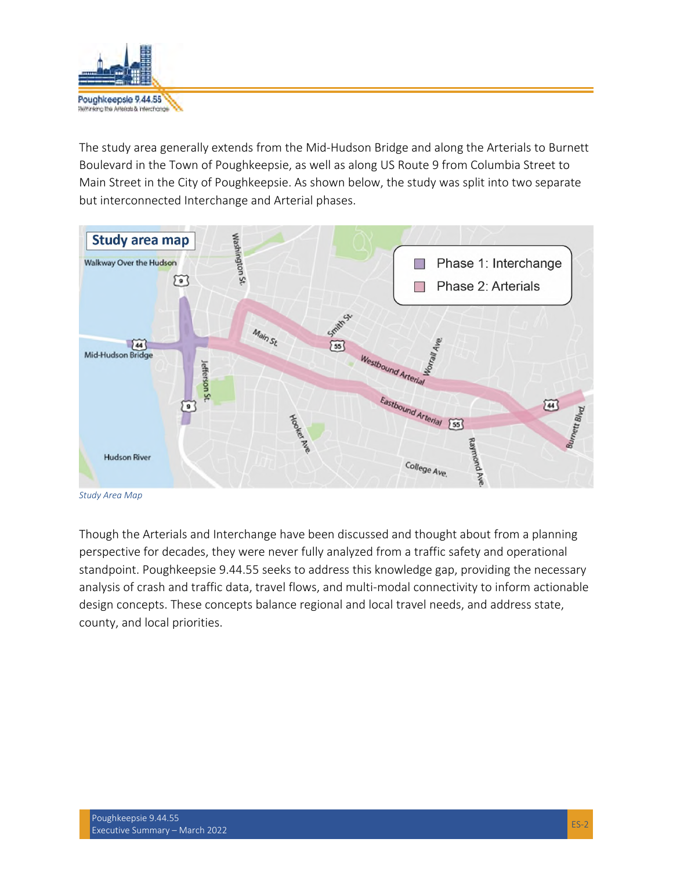

The study area generally extends from the Mid-Hudson Bridge and along the Arterials to Burnett Boulevard in the Town of Poughkeepsie, as well as along US Route 9 from Columbia Street to Main Street in the City of Poughkeepsie. As shown below, the study was split into two separate but interconnected Interchange and Arterial phases.



*Study Area Map* 

Though the Arterials and Interchange have been discussed and thought about from a planning perspective for decades, they were never fully analyzed from a traffic safety and operational standpoint. Poughkeepsie 9.44.55 seeks to address this knowledge gap, providing the necessary analysis of crash and traffic data, travel flows, and multi-modal connectivity to inform actionable design concepts. These concepts balance regional and local travel needs, and address state, county, and local priorities.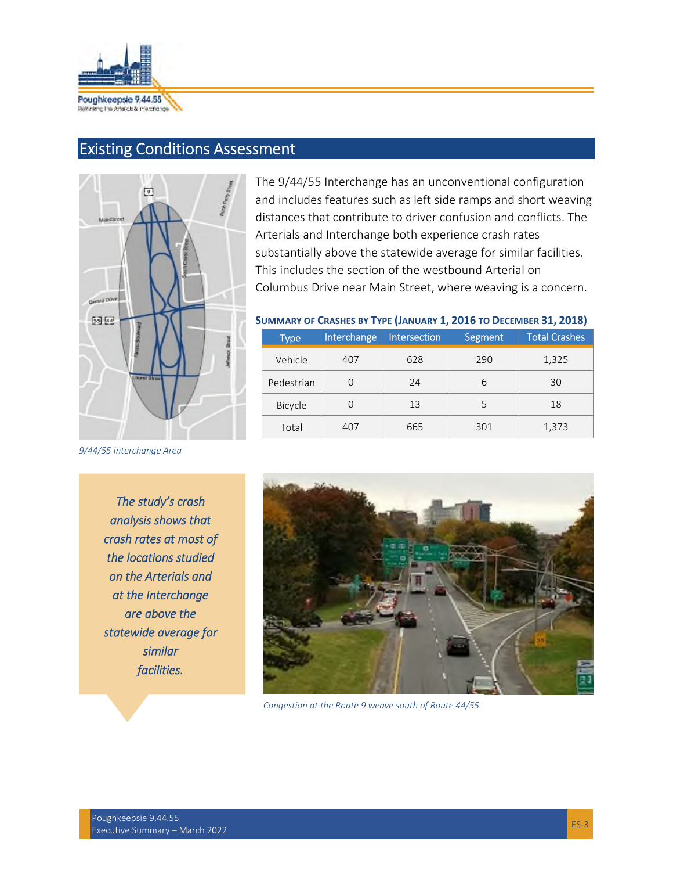

# Existing Conditions Assessment



The 9/44/55 Interchange has an unconventional configuration and includes features such as left side ramps and short weaving distances that contribute to driver confusion and conflicts. The Arterials and Interchange both experience crash rates substantially above the statewide average for similar facilities. This includes the section of the westbound Arterial on Columbus Drive near Main Street, where weaving is a concern.

#### **SUMMARY OF CRASHES BY TYPE (JANUARY 1, 2016 TO DECEMBER 31, 2018)**

| <b>Type</b>    | Interchange | Intersection | Segment | <b>Total Crashes</b> |
|----------------|-------------|--------------|---------|----------------------|
| Vehicle        | 407         | 628          | 290     | 1,325                |
| Pedestrian     |             | 24           | 6       | 30                   |
| <b>Bicycle</b> |             | 13           | 5       | 18                   |
| Total          | 407         | 665          | 301     | 1,373                |

*9/44/55 Interchange Area* 

*The study's crash analysis shows that crash rates at most of the locations studied on the Arterials and at the Interchange are above the statewide average for similar facilities.* 



*Congestion at the Route 9 weave south of Route 44/55*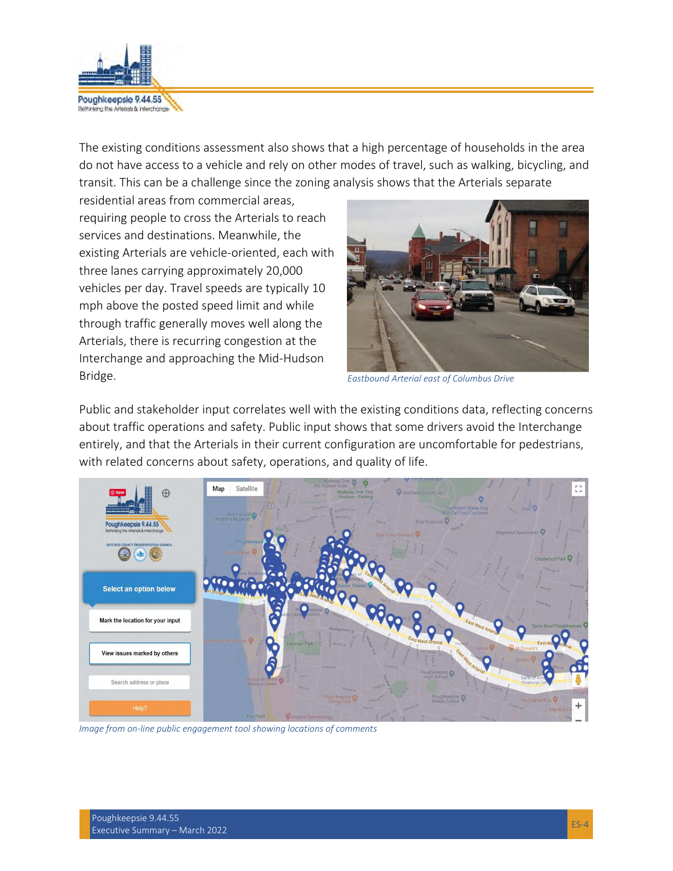

The existing conditions assessment also shows that a high percentage of households in the area do not have access to a vehicle and rely on other modes of travel, such as walking, bicycling, and transit. This can be a challenge since the zoning analysis shows that the Arterials separate

residential areas from commercial areas, requiring people to cross the Arterials to reach services and destinations. Meanwhile, the existing Arterials are vehicle-oriented, each with three lanes carrying approximately 20,000 vehicles per day. Travel speeds are typically 10 mph above the posted speed limit and while through traffic generally moves well along the Arterials, there is recurring congestion at the Interchange and approaching the Mid-Hudson Bridge.



*Eastbound Arterial east of Columbus Drive* 

Public and stakeholder input correlates well with the existing conditions data, reflecting concerns about traffic operations and safety. Public input shows that some drivers avoid the Interchange entirely, and that the Arterials in their current configuration are uncomfortable for pedestrians, with related concerns about safety, operations, and quality of life.



*Image from on-line public engagement tool showing locations of comments*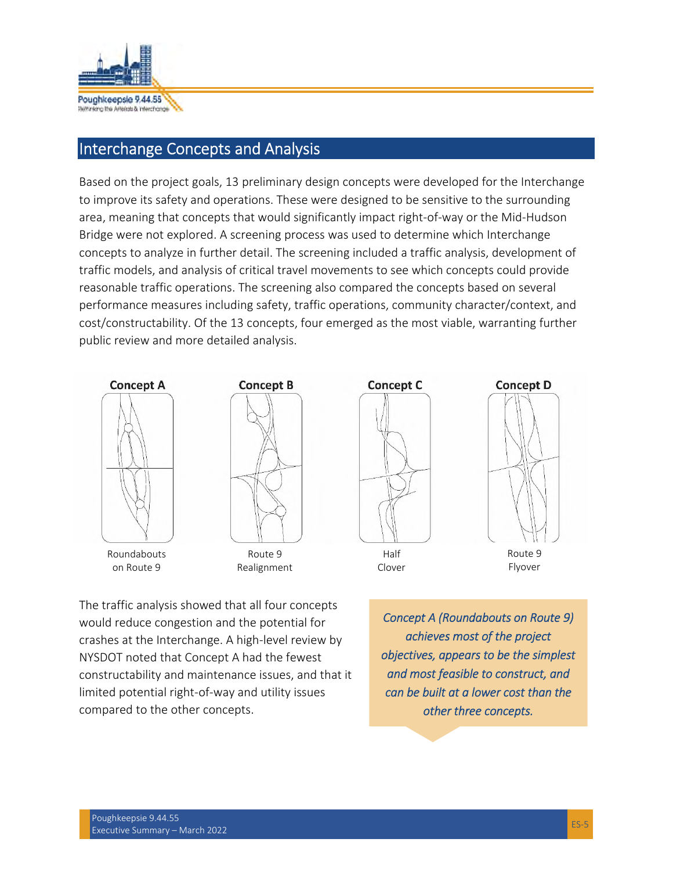

## Interchange Concepts and Analysis

Based on the project goals, 13 preliminary design concepts were developed for the Interchange to improve its safety and operations. These were designed to be sensitive to the surrounding area, meaning that concepts that would significantly impact right-of-way or the Mid-Hudson Bridge were not explored. A screening process was used to determine which Interchange concepts to analyze in further detail. The screening included a traffic analysis, development of traffic models, and analysis of critical travel movements to see which concepts could provide reasonable traffic operations. The screening also compared the concepts based on several performance measures including safety, traffic operations, community character/context, and cost/constructability. Of the 13 concepts, four emerged as the most viable, warranting further public review and more detailed analysis.





Roundabouts on Route 9

Route 9 Realignment



Half Clover



Route 9 Flyover

The traffic analysis showed that all four concepts would reduce congestion and the potential for crashes at the Interchange. A high-level review by NYSDOT noted that Concept A had the fewest constructability and maintenance issues, and that it limited potential right-of-way and utility issues compared to the other concepts.

*Concept A (Roundabouts on Route 9) achieves most of the project objectives, appears to be the simplest and most feasible to construct, and can be built at a lower cost than the other three concepts.*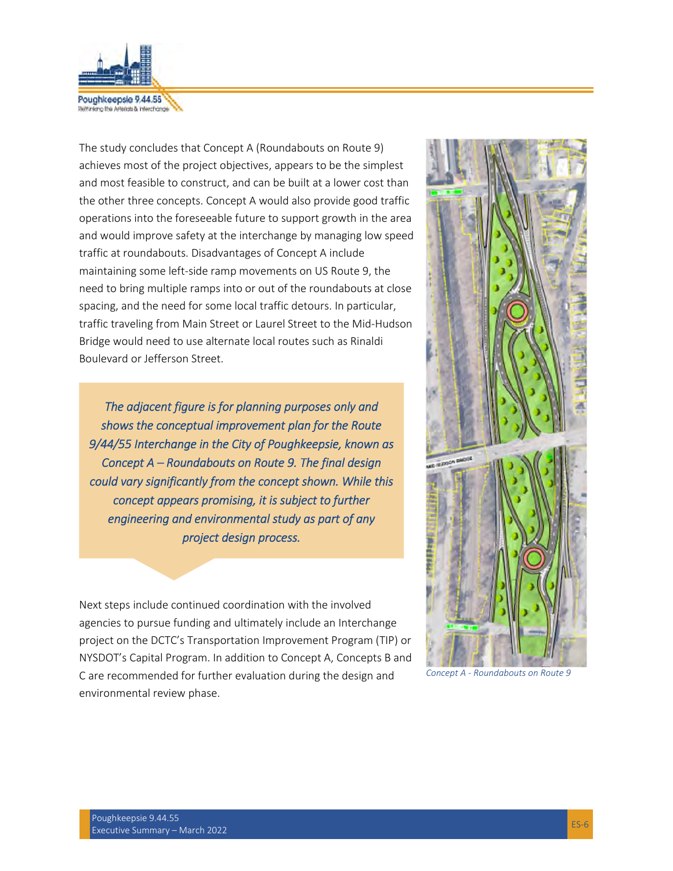

Substanting the Americas & Information

The study concludes that Concept A (Roundabouts on Route 9) achieves most of the project objectives, appears to be the simplest and most feasible to construct, and can be built at a lower cost than the other three concepts. Concept A would also provide good traffic operations into the foreseeable future to support growth in the area and would improve safety at the interchange by managing low speed traffic at roundabouts. Disadvantages of Concept A include maintaining some left-side ramp movements on US Route 9, the need to bring multiple ramps into or out of the roundabouts at close spacing, and the need for some local traffic detours. In particular, traffic traveling from Main Street or Laurel Street to the Mid-Hudson Bridge would need to use alternate local routes such as Rinaldi Boulevard or Jefferson Street.

*The adjacent figure is for planning purposes only and shows the conceptual improvement plan for the Route 9/44/55 Interchange in the City of Poughkeepsie, known as Concept A – Roundabouts on Route 9. The final design could vary significantly from the concept shown. While this concept appears promising, it is subject to further engineering and environmental study as part of any project design process.* 

Next steps include continued coordination with the involved agencies to pursue funding and ultimately include an Interchange project on the DCTC's Transportation Improvement Program (TIP) or NYSDOT's Capital Program. In addition to Concept A, Concepts B and C are recommended for further evaluation during the design and environmental review phase.



*Concept A - Roundabouts on Route 9*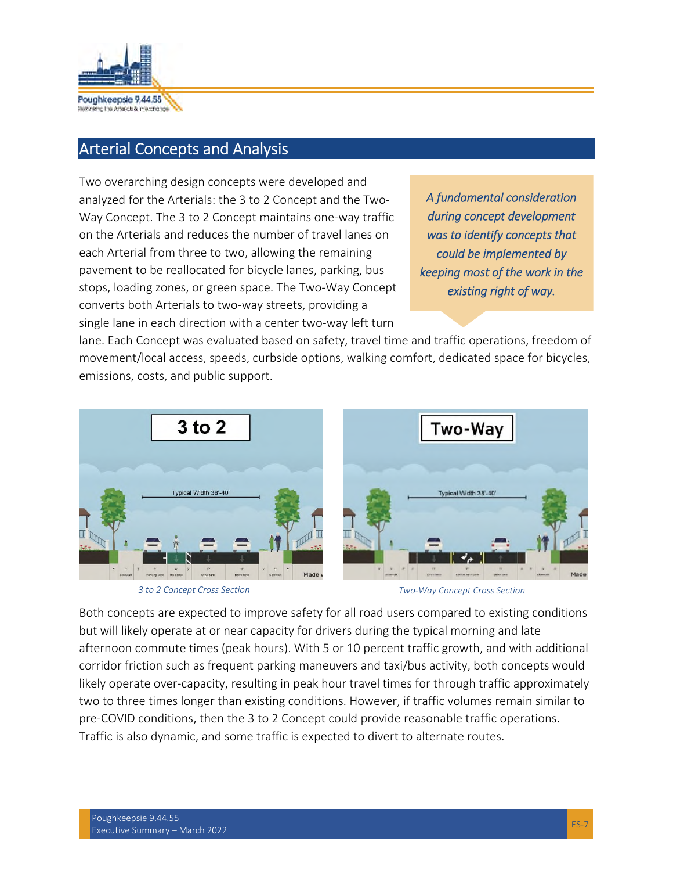

## Arterial Concepts and Analysis

Two overarching design concepts were developed and analyzed for the Arterials: the 3 to 2 Concept and the Two-Way Concept. The 3 to 2 Concept maintains one-way traffic on the Arterials and reduces the number of travel lanes on each Arterial from three to two, allowing the remaining pavement to be reallocated for bicycle lanes, parking, bus stops, loading zones, or green space. The Two-Way Concept converts both Arterials to two-way streets, providing a single lane in each direction with a center two-way left turn

*A fundamental consideration during concept development was to identify concepts that could be implemented by keeping most of the work in the existing right of way.* 

lane. Each Concept was evaluated based on safety, travel time and traffic operations, freedom of movement/local access, speeds, curbside options, walking comfort, dedicated space for bicycles, emissions, costs, and public support.



*3 to 2 Concept Cross Section Two-Way Concept Cross Section* 

Both concepts are expected to improve safety for all road users compared to existing conditions but will likely operate at or near capacity for drivers during the typical morning and late afternoon commute times (peak hours). With 5 or 10 percent traffic growth, and with additional corridor friction such as frequent parking maneuvers and taxi/bus activity, both concepts would likely operate over-capacity, resulting in peak hour travel times for through traffic approximately two to three times longer than existing conditions. However, if traffic volumes remain similar to pre-COVID conditions, then the 3 to 2 Concept could provide reasonable traffic operations. Traffic is also dynamic, and some traffic is expected to divert to alternate routes.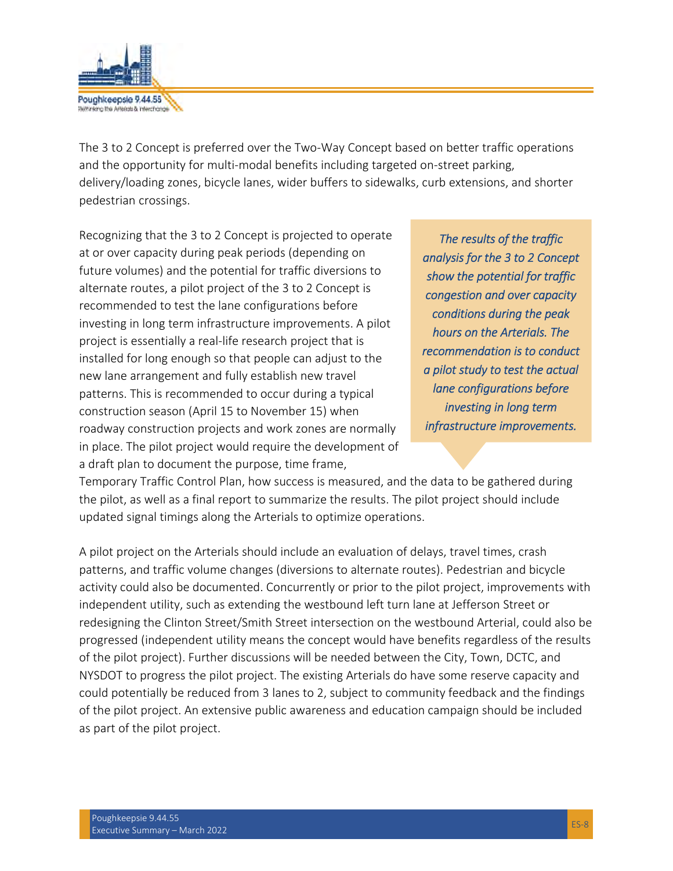

The 3 to 2 Concept is preferred over the Two-Way Concept based on better traffic operations and the opportunity for multi-modal benefits including targeted on-street parking, delivery/loading zones, bicycle lanes, wider buffers to sidewalks, curb extensions, and shorter pedestrian crossings.

Recognizing that the 3 to 2 Concept is projected to operate at or over capacity during peak periods (depending on future volumes) and the potential for traffic diversions to alternate routes, a pilot project of the 3 to 2 Concept is recommended to test the lane configurations before investing in long term infrastructure improvements. A pilot project is essentially a real-life research project that is installed for long enough so that people can adjust to the new lane arrangement and fully establish new travel patterns. This is recommended to occur during a typical construction season (April 15 to November 15) when roadway construction projects and work zones are normally in place. The pilot project would require the development of a draft plan to document the purpose, time frame,

*The results of the traffic analysis for the 3 to 2 Concept show the potential for traffic congestion and over capacity conditions during the peak hours on the Arterials. The recommendation is to conduct a pilot study to test the actual lane configurations before investing in long term infrastructure improvements.* 

Temporary Traffic Control Plan, how success is measured, and the data to be gathered during the pilot, as well as a final report to summarize the results. The pilot project should include updated signal timings along the Arterials to optimize operations.

A pilot project on the Arterials should include an evaluation of delays, travel times, crash patterns, and traffic volume changes (diversions to alternate routes). Pedestrian and bicycle activity could also be documented. Concurrently or prior to the pilot project, improvements with independent utility, such as extending the westbound left turn lane at Jefferson Street or redesigning the Clinton Street/Smith Street intersection on the westbound Arterial, could also be progressed (independent utility means the concept would have benefits regardless of the results of the pilot project). Further discussions will be needed between the City, Town, DCTC, and NYSDOT to progress the pilot project. The existing Arterials do have some reserve capacity and could potentially be reduced from 3 lanes to 2, subject to community feedback and the findings of the pilot project. An extensive public awareness and education campaign should be included as part of the pilot project.